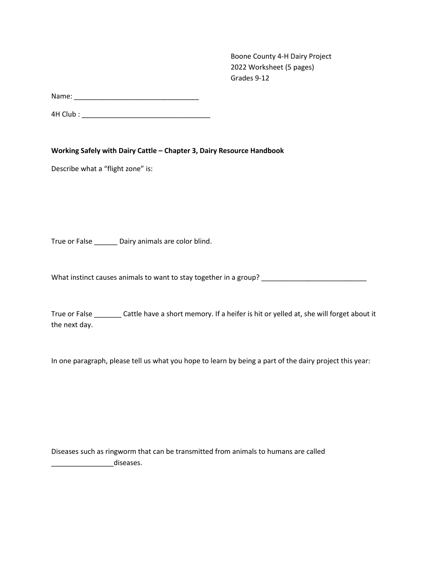Boone County 4-H Dairy Project 2022 Worksheet (5 pages) Grades 9-12

Name: \_\_\_\_\_\_\_\_\_\_\_\_\_\_\_\_\_\_\_\_\_\_\_\_\_\_\_\_\_\_\_\_

4H Club : \_\_\_\_\_\_\_\_\_\_\_\_\_\_\_\_\_\_\_\_\_\_\_\_\_\_\_\_\_\_\_\_\_

**Working Safely with Dairy Cattle – Chapter 3, Dairy Resource Handbook**

Describe what a "flight zone" is:

True or False \_\_\_\_\_\_ Dairy animals are color blind.

What instinct causes animals to want to stay together in a group? \_\_\_\_\_\_\_\_\_\_\_\_\_\_\_\_\_\_\_\_\_\_\_\_\_\_\_

True or False **Cattle have a short memory.** If a heifer is hit or yelled at, she will forget about it the next day.

In one paragraph, please tell us what you hope to learn by being a part of the dairy project this year:

Diseases such as ringworm that can be transmitted from animals to humans are called diseases.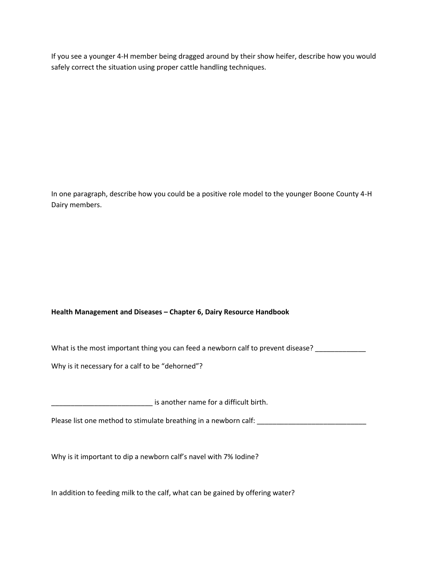If you see a younger 4-H member being dragged around by their show heifer, describe how you would safely correct the situation using proper cattle handling techniques.

In one paragraph, describe how you could be a positive role model to the younger Boone County 4-H Dairy members.

## **Health Management and Diseases – Chapter 6, Dairy Resource Handbook**

What is the most important thing you can feed a newborn calf to prevent disease? \_\_\_\_\_\_\_\_\_\_\_\_

Why is it necessary for a calf to be "dehorned"?

\_\_\_\_\_\_\_\_\_\_\_\_\_\_\_\_\_\_\_\_\_\_\_\_\_\_ is another name for a difficult birth.

Please list one method to stimulate breathing in a newborn calf: \_\_\_\_\_\_\_\_\_\_\_\_\_\_\_\_

Why is it important to dip a newborn calf's navel with 7% Iodine?

In addition to feeding milk to the calf, what can be gained by offering water?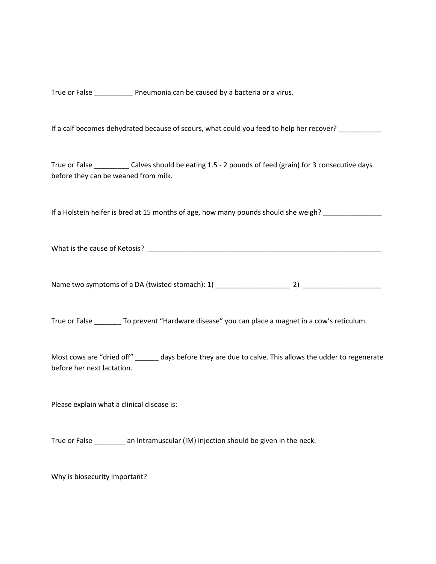True or False \_\_\_\_\_\_\_\_\_\_ Pneumonia can be caused by a bacteria or a virus.

If a calf becomes dehydrated because of scours, what could you feed to help her recover? \_\_\_\_\_\_\_\_\_\_

True or False Calves should be eating 1.5 - 2 pounds of feed (grain) for 3 consecutive days before they can be weaned from milk.

If a Holstein heifer is bred at 15 months of age, how many pounds should she weigh?

What is the cause of Ketosis? \_\_\_\_\_\_\_\_\_\_\_\_\_\_\_\_\_\_\_\_\_\_\_\_\_\_\_\_\_\_\_\_\_\_\_\_\_\_\_\_\_\_\_\_\_\_\_\_\_\_\_\_\_\_\_\_\_\_\_\_

Name two symptoms of a DA (twisted stomach): 1) \_\_\_\_\_\_\_\_\_\_\_\_\_\_\_\_\_\_\_ 2) \_\_\_\_\_\_\_\_\_\_\_\_\_\_\_\_\_\_\_\_

True or False \_\_\_\_\_\_\_ To prevent "Hardware disease" you can place a magnet in a cow's reticulum.

Most cows are "dried off" \_\_\_\_\_\_ days before they are due to calve. This allows the udder to regenerate before her next lactation.

Please explain what a clinical disease is:

True or False \_\_\_\_\_\_\_\_ an Intramuscular (IM) injection should be given in the neck.

Why is biosecurity important?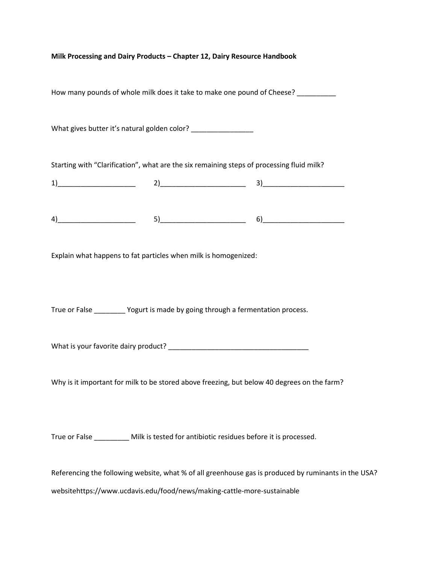| Milk Processing and Dairy Products - Chapter 12, Dairy Resource Handbook |
|--------------------------------------------------------------------------|
|--------------------------------------------------------------------------|

How many pounds of whole milk does it take to make one pound of Cheese? \_\_\_\_\_\_\_\_

What gives butter it's natural golden color? \_\_\_\_\_\_\_\_\_\_\_\_\_\_\_\_\_\_

Starting with "Clarification", what are the six remaining steps of processing fluid milk?

1)\_\_\_\_\_\_\_\_\_\_\_\_\_\_\_\_\_\_\_\_ 2)\_\_\_\_\_\_\_\_\_\_\_\_\_\_\_\_\_\_\_\_\_\_ 3)\_\_\_\_\_\_\_\_\_\_\_\_\_\_\_\_\_\_\_\_\_

 $4)$  (3)

Explain what happens to fat particles when milk is homogenized:

True or False \_\_\_\_\_\_\_\_ Yogurt is made by going through a fermentation process.

What is your favorite dairy product? \_\_\_\_\_\_\_\_\_\_\_\_\_\_\_\_\_\_\_\_\_\_\_\_\_\_\_\_\_\_\_\_\_\_\_\_

Why is it important for milk to be stored above freezing, but below 40 degrees on the farm?

True or False \_\_\_\_\_\_\_\_\_ Milk is tested for antibiotic residues before it is processed.

Referencing the following website, what % of all greenhouse gas is produced by ruminants in the USA?

websitehttps://www.ucdavis.edu/food/news/making-cattle-more-sustainable